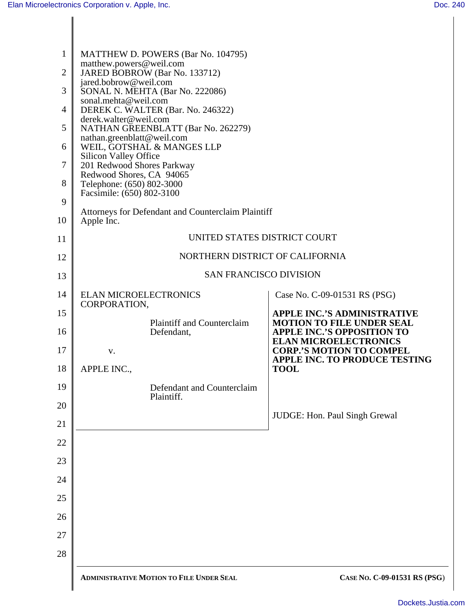| $\mathbf{1}$   | MATTHEW D. POWERS (Bar No. 104795)                               |                                                                       |
|----------------|------------------------------------------------------------------|-----------------------------------------------------------------------|
| $\overline{2}$ | matthew.powers@weil.com<br>JARED BOBROW (Bar No. 133712)         |                                                                       |
| 3              | jared.bobrow@weil.com<br>SONAL N. MEHTA (Bar No. 222086)         |                                                                       |
| $\overline{4}$ | sonal.mehta@weil.com<br>DEREK C. WALTER (Bar. No. 246322)        |                                                                       |
| 5              | derek.walter@weil.com<br>NATHAN GREENBLATT (Bar No. 262279)      |                                                                       |
| 6              | nathan.greenblatt@weil.com<br>WEIL, GOTSHAL & MANGES LLP         |                                                                       |
| $\tau$         | Silicon Valley Office<br>201 Redwood Shores Parkway              |                                                                       |
| 8              | Redwood Shores, CA 94065<br>Telephone: (650) 802-3000            |                                                                       |
| 9              | Facsimile: (650) 802-3100                                        |                                                                       |
| 10             | Attorneys for Defendant and Counterclaim Plaintiff<br>Apple Inc. |                                                                       |
| 11             | UNITED STATES DISTRICT COURT                                     |                                                                       |
| 12             | NORTHERN DISTRICT OF CALIFORNIA                                  |                                                                       |
| 13             | <b>SAN FRANCISCO DIVISION</b>                                    |                                                                       |
| 14             | <b>ELAN MICROELECTRONICS</b>                                     | Case No. C-09-01531 RS (PSG)                                          |
| 15             | CORPORATION,                                                     | <b>APPLE INC.'S ADMINISTRATIVE</b>                                    |
| 16             | <b>Plaintiff and Counterclaim</b><br>Defendant,                  | <b>MOTION TO FILE UNDER SEAL</b><br><b>APPLE INC.'S OPPOSITION TO</b> |
| 17             | V.                                                               | <b>ELAN MICROELECTRONICS</b><br><b>CORP.'S MOTION TO COMPEL</b>       |
| 18             | APPLE INC.,                                                      | <b>APPLE INC. TO PRODUCE TESTING</b><br><b>TOOL</b>                   |
| 19             | Defendant and Counterclaim                                       |                                                                       |
| 20             | Plaintiff.                                                       |                                                                       |
| 21             |                                                                  | JUDGE: Hon. Paul Singh Grewal                                         |
| 22             |                                                                  |                                                                       |
| 23             |                                                                  |                                                                       |
| 24             |                                                                  |                                                                       |
| 25             |                                                                  |                                                                       |
| 26             |                                                                  |                                                                       |
| 27             |                                                                  |                                                                       |
| 28             |                                                                  |                                                                       |
|                | <b>ADMINISTRATIVE MOTION TO FILE UNDER SEAL</b>                  | CASE No. C-09-01531 RS (PSG)                                          |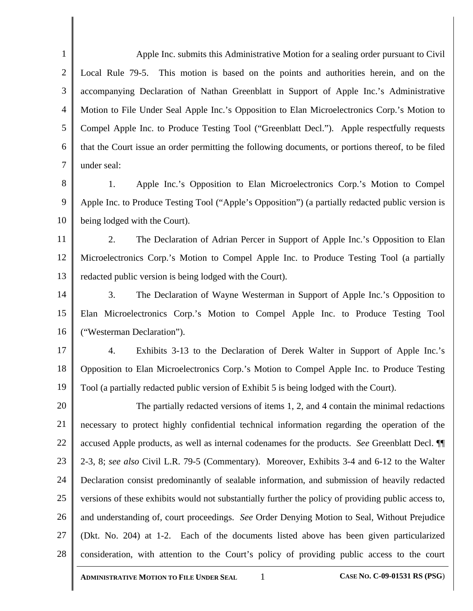1 2 3 4 5 6 7 Apple Inc. submits this Administrative Motion for a sealing order pursuant to Civil Local Rule 79-5. This motion is based on the points and authorities herein, and on the accompanying Declaration of Nathan Greenblatt in Support of Apple Inc.'s Administrative Motion to File Under Seal Apple Inc.'s Opposition to Elan Microelectronics Corp.'s Motion to Compel Apple Inc. to Produce Testing Tool ("Greenblatt Decl."). Apple respectfully requests that the Court issue an order permitting the following documents, or portions thereof, to be filed under seal:

8 9 10 1. Apple Inc.'s Opposition to Elan Microelectronics Corp.'s Motion to Compel Apple Inc. to Produce Testing Tool ("Apple's Opposition") (a partially redacted public version is being lodged with the Court).

11 12 13 2. The Declaration of Adrian Percer in Support of Apple Inc.'s Opposition to Elan Microelectronics Corp.'s Motion to Compel Apple Inc. to Produce Testing Tool (a partially redacted public version is being lodged with the Court).

14 15 16 3. The Declaration of Wayne Westerman in Support of Apple Inc.'s Opposition to Elan Microelectronics Corp.'s Motion to Compel Apple Inc. to Produce Testing Tool ("Westerman Declaration").

17 18 19 4. Exhibits 3-13 to the Declaration of Derek Walter in Support of Apple Inc.'s Opposition to Elan Microelectronics Corp.'s Motion to Compel Apple Inc. to Produce Testing Tool (a partially redacted public version of Exhibit 5 is being lodged with the Court).

20 21 22 23 24 25 26 27 28 The partially redacted versions of items 1, 2, and 4 contain the minimal redactions necessary to protect highly confidential technical information regarding the operation of the accused Apple products, as well as internal codenames for the products. *See* Greenblatt Decl. ¶¶ 2-3, 8; *see also* Civil L.R. 79-5 (Commentary). Moreover, Exhibits 3-4 and 6-12 to the Walter Declaration consist predominantly of sealable information, and submission of heavily redacted versions of these exhibits would not substantially further the policy of providing public access to, and understanding of, court proceedings. *See* Order Denying Motion to Seal, Without Prejudice (Dkt. No. 204) at 1-2. Each of the documents listed above has been given particularized consideration, with attention to the Court's policy of providing public access to the court